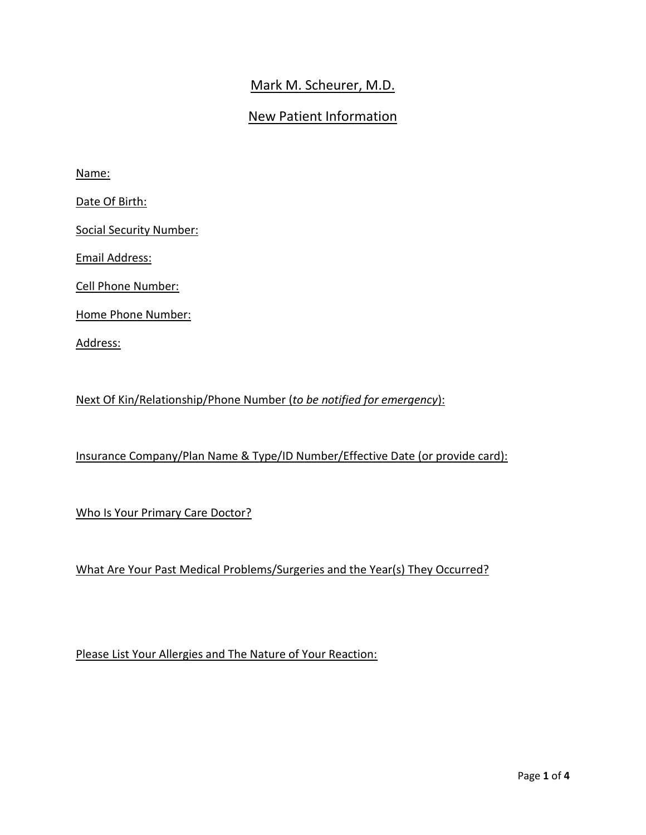## Mark M. Scheurer, M.D.

### New Patient Information

Name:

Date Of Birth:

Social Security Number:

Email Address:

Cell Phone Number:

Home Phone Number:

Address:

Next Of Kin/Relationship/Phone Number (*to be notified for emergency*):

Insurance Company/Plan Name & Type/ID Number/Effective Date (or provide card):

Who Is Your Primary Care Doctor?

What Are Your Past Medical Problems/Surgeries and the Year(s) They Occurred?

Please List Your Allergies and The Nature of Your Reaction: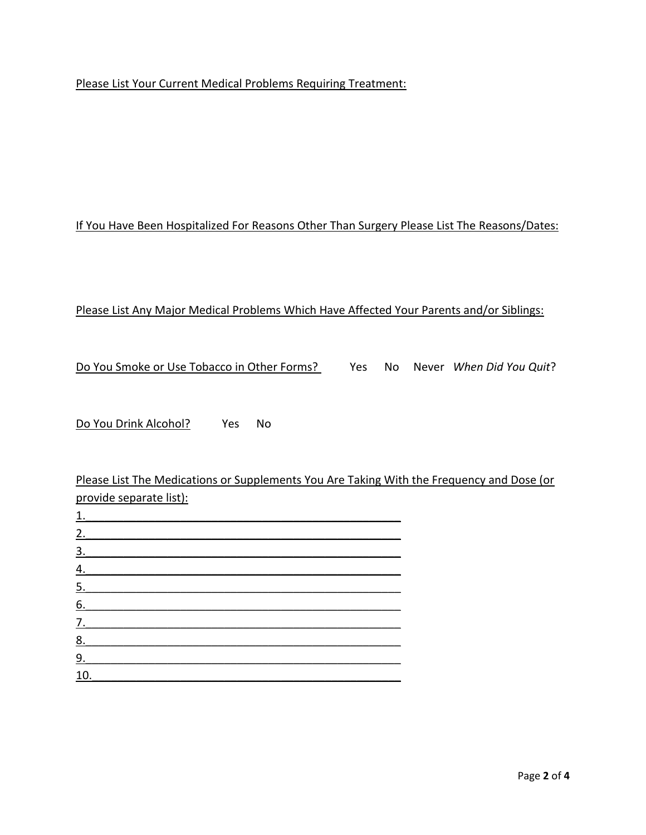#### Please List Your Current Medical Problems Requiring Treatment:

#### If You Have Been Hospitalized For Reasons Other Than Surgery Please List The Reasons/Dates:

#### Please List Any Major Medical Problems Which Have Affected Your Parents and/or Siblings:

Do You Smoke or Use Tobacco in Other Forms? Yes No Never *When Did You Quit*?

Do You Drink Alcohol? Yes No

Please List The Medications or Supplements You Are Taking With the Frequency and Dose (or provide separate list):

| <u>1.</u>         |  |  |  |
|-------------------|--|--|--|
| 2.                |  |  |  |
| $\underline{3}$ . |  |  |  |
| $\overline{4}$ .  |  |  |  |
| $\underline{5}$ . |  |  |  |
| 6.                |  |  |  |
| $\overline{Z}$ .  |  |  |  |
| <u>8.</u>         |  |  |  |
| 9.                |  |  |  |
| <u>10.</u>        |  |  |  |
|                   |  |  |  |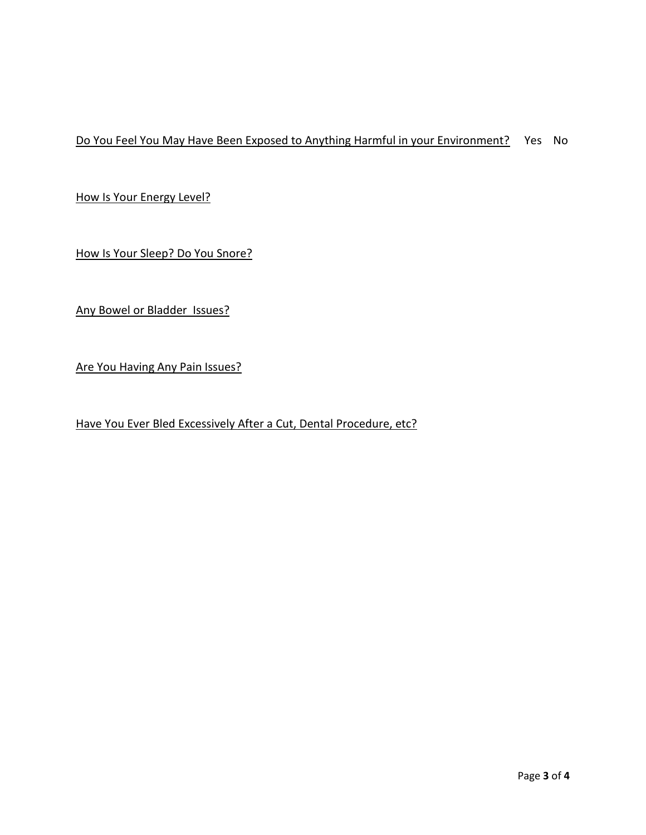Do You Feel You May Have Been Exposed to Anything Harmful in your Environment? Yes No

How Is Your Energy Level?

How Is Your Sleep? Do You Snore?

Any Bowel or Bladder Issues?

Are You Having Any Pain Issues?

Have You Ever Bled Excessively After a Cut, Dental Procedure, etc?